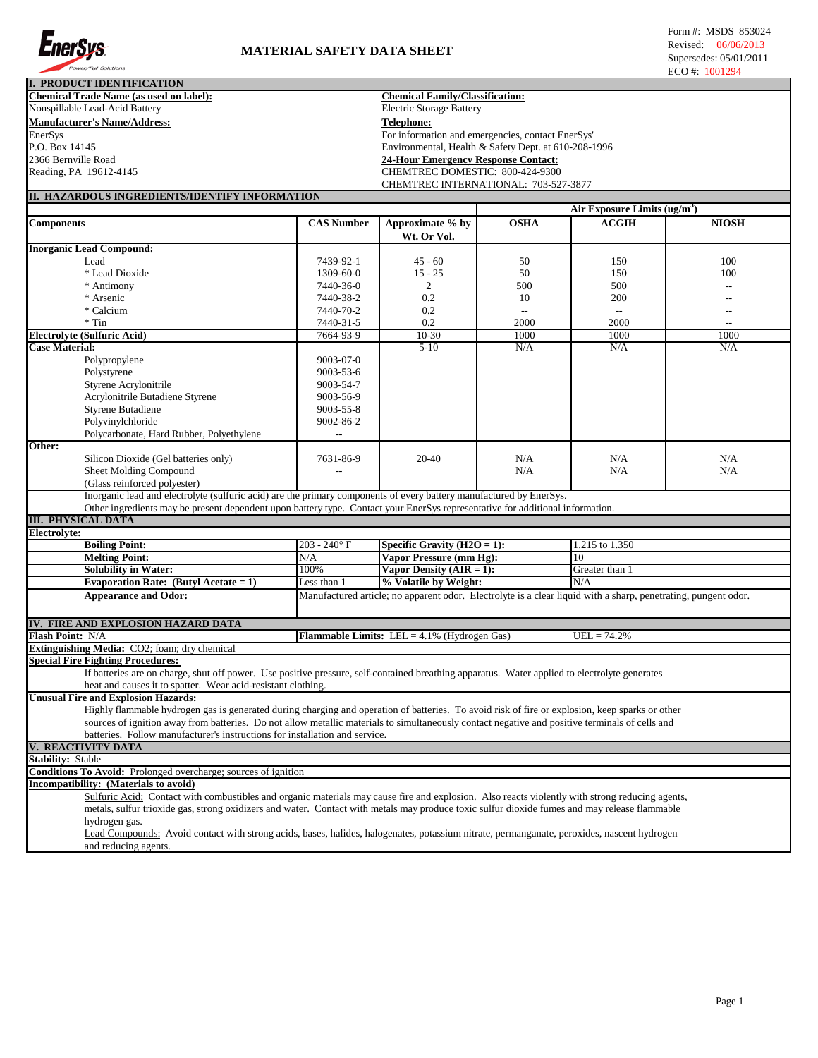

| L. PRODUCT IDENTIFICATION                                                                                                                                                                                                                                                                          |                                        |                                                      |                                            |                                                                                                                |                          |  |  |
|----------------------------------------------------------------------------------------------------------------------------------------------------------------------------------------------------------------------------------------------------------------------------------------------------|----------------------------------------|------------------------------------------------------|--------------------------------------------|----------------------------------------------------------------------------------------------------------------|--------------------------|--|--|
| <b>Chemical Trade Name (as used on label):</b>                                                                                                                                                                                                                                                     | <b>Chemical Family/Classification:</b> |                                                      |                                            |                                                                                                                |                          |  |  |
| Nonspillable Lead-Acid Battery                                                                                                                                                                                                                                                                     | <b>Electric Storage Battery</b>        |                                                      |                                            |                                                                                                                |                          |  |  |
| <b>Manufacturer's Name/Address:</b>                                                                                                                                                                                                                                                                | <b>Telephone:</b>                      |                                                      |                                            |                                                                                                                |                          |  |  |
| EnerSys                                                                                                                                                                                                                                                                                            |                                        | For information and emergencies, contact EnerSys'    |                                            |                                                                                                                |                          |  |  |
| P.O. Box 14145                                                                                                                                                                                                                                                                                     |                                        | Environmental, Health & Safety Dept. at 610-208-1996 |                                            |                                                                                                                |                          |  |  |
| 2366 Bernville Road                                                                                                                                                                                                                                                                                |                                        |                                                      | <b>24-Hour Emergency Response Contact:</b> |                                                                                                                |                          |  |  |
| Reading, PA 19612-4145                                                                                                                                                                                                                                                                             |                                        | CHEMTREC DOMESTIC: 800-424-9300                      |                                            |                                                                                                                |                          |  |  |
|                                                                                                                                                                                                                                                                                                    |                                        |                                                      | CHEMTREC INTERNATIONAL: 703-527-3877       |                                                                                                                |                          |  |  |
| II. HAZARDOUS INGREDIENTS/IDENTIFY INFORMATION                                                                                                                                                                                                                                                     |                                        |                                                      |                                            |                                                                                                                |                          |  |  |
|                                                                                                                                                                                                                                                                                                    |                                        |                                                      |                                            | Air Exposure Limits $(ug/m^3)$                                                                                 |                          |  |  |
| <b>Components</b>                                                                                                                                                                                                                                                                                  | <b>CAS Number</b>                      | Approximate % by                                     | <b>OSHA</b>                                | <b>ACGIH</b>                                                                                                   | <b>NIOSH</b>             |  |  |
|                                                                                                                                                                                                                                                                                                    |                                        |                                                      |                                            |                                                                                                                |                          |  |  |
|                                                                                                                                                                                                                                                                                                    |                                        | Wt. Or Vol.                                          |                                            |                                                                                                                |                          |  |  |
| <b>Inorganic Lead Compound:</b>                                                                                                                                                                                                                                                                    |                                        |                                                      |                                            |                                                                                                                |                          |  |  |
| Lead                                                                                                                                                                                                                                                                                               | 7439-92-1                              | $45 - 60$                                            | 50                                         | 150                                                                                                            | 100                      |  |  |
| * Lead Dioxide                                                                                                                                                                                                                                                                                     | 1309-60-0                              | $15 - 25$                                            | 50                                         | 150                                                                                                            | 100                      |  |  |
| * Antimony                                                                                                                                                                                                                                                                                         | 7440-36-0                              | 2                                                    | 500                                        | 500                                                                                                            |                          |  |  |
| * Arsenic                                                                                                                                                                                                                                                                                          | 7440-38-2                              | 0.2                                                  | 10                                         | 200                                                                                                            |                          |  |  |
| * Calcium                                                                                                                                                                                                                                                                                          | 7440-70-2                              | 0.2                                                  | $\overline{\phantom{a}}$                   | $\overline{\phantom{a}}$                                                                                       | $\overline{a}$           |  |  |
| $*$ Tin                                                                                                                                                                                                                                                                                            | 7440-31-5                              | 0.2                                                  | 2000                                       | 2000                                                                                                           | $\overline{\phantom{a}}$ |  |  |
| <b>Electrolyte (Sulfuric Acid)</b>                                                                                                                                                                                                                                                                 | 7664-93-9                              | 10-30                                                | 1000                                       | 1000                                                                                                           | 1000                     |  |  |
| <b>Case Material:</b>                                                                                                                                                                                                                                                                              |                                        | $5-10$                                               | N/A                                        | N/A                                                                                                            | N/A                      |  |  |
| Polypropylene                                                                                                                                                                                                                                                                                      | 9003-07-0                              |                                                      |                                            |                                                                                                                |                          |  |  |
| Polystyrene                                                                                                                                                                                                                                                                                        | 9003-53-6                              |                                                      |                                            |                                                                                                                |                          |  |  |
| Styrene Acrylonitrile                                                                                                                                                                                                                                                                              | 9003-54-7                              |                                                      |                                            |                                                                                                                |                          |  |  |
| Acrylonitrile Butadiene Styrene                                                                                                                                                                                                                                                                    | 9003-56-9                              |                                                      |                                            |                                                                                                                |                          |  |  |
|                                                                                                                                                                                                                                                                                                    |                                        |                                                      |                                            |                                                                                                                |                          |  |  |
| <b>Styrene Butadiene</b>                                                                                                                                                                                                                                                                           | 9003-55-8                              |                                                      |                                            |                                                                                                                |                          |  |  |
| Polyvinylchloride                                                                                                                                                                                                                                                                                  | 9002-86-2                              |                                                      |                                            |                                                                                                                |                          |  |  |
| Polycarbonate, Hard Rubber, Polyethylene                                                                                                                                                                                                                                                           | --                                     |                                                      |                                            |                                                                                                                |                          |  |  |
| Other:                                                                                                                                                                                                                                                                                             |                                        |                                                      |                                            |                                                                                                                |                          |  |  |
| Silicon Dioxide (Gel batteries only)                                                                                                                                                                                                                                                               | 7631-86-9                              | 20-40                                                | N/A                                        | N/A                                                                                                            | N/A                      |  |  |
| Sheet Molding Compound                                                                                                                                                                                                                                                                             |                                        |                                                      | N/A                                        | N/A                                                                                                            | N/A                      |  |  |
| (Glass reinforced polyester)                                                                                                                                                                                                                                                                       |                                        |                                                      |                                            |                                                                                                                |                          |  |  |
| Inorganic lead and electrolyte (sulfuric acid) are the primary components of every battery manufactured by EnerSys.                                                                                                                                                                                |                                        |                                                      |                                            |                                                                                                                |                          |  |  |
| Other ingredients may be present dependent upon battery type. Contact your EnerSys representative for additional information.                                                                                                                                                                      |                                        |                                                      |                                            |                                                                                                                |                          |  |  |
| <b>III. PHYSICAL DATA</b>                                                                                                                                                                                                                                                                          |                                        |                                                      |                                            |                                                                                                                |                          |  |  |
| Electrolyte:                                                                                                                                                                                                                                                                                       |                                        |                                                      |                                            |                                                                                                                |                          |  |  |
| <b>Boiling Point:</b>                                                                                                                                                                                                                                                                              | $203 - 240$ °F                         | Specific Gravity $(H2O = 1)$ :                       |                                            | 1.215 to 1.350                                                                                                 |                          |  |  |
| <b>Melting Point:</b>                                                                                                                                                                                                                                                                              | N/A                                    | Vapor Pressure (mm Hg):                              |                                            | 10                                                                                                             |                          |  |  |
| <b>Solubility in Water:</b>                                                                                                                                                                                                                                                                        | 100%                                   | Vapor Density $(AIR = 1)$ :                          |                                            | Greater than 1                                                                                                 |                          |  |  |
| Evaporation Rate: (Butyl Acetate = $1$ )                                                                                                                                                                                                                                                           | $\overline{\text{Les}}$ than 1         | % Volatile by Weight:                                |                                            | N/A                                                                                                            |                          |  |  |
| <b>Appearance and Odor:</b>                                                                                                                                                                                                                                                                        |                                        |                                                      |                                            | Manufactured article; no apparent odor. Electrolyte is a clear liquid with a sharp, penetrating, pungent odor. |                          |  |  |
|                                                                                                                                                                                                                                                                                                    |                                        |                                                      |                                            |                                                                                                                |                          |  |  |
|                                                                                                                                                                                                                                                                                                    |                                        |                                                      |                                            |                                                                                                                |                          |  |  |
| IV. FIRE AND EXPLOSION HAZARD DATA                                                                                                                                                                                                                                                                 |                                        |                                                      |                                            |                                                                                                                |                          |  |  |
| Flash Point: N/A                                                                                                                                                                                                                                                                                   |                                        | Flammable Limits: LEL = 4.1% (Hydrogen Gas)          |                                            | $UEL = 74.2%$                                                                                                  |                          |  |  |
| Extinguishing Media: CO2; foam; dry chemical                                                                                                                                                                                                                                                       |                                        |                                                      |                                            |                                                                                                                |                          |  |  |
| <b>Special Fire Fighting Procedures:</b>                                                                                                                                                                                                                                                           |                                        |                                                      |                                            |                                                                                                                |                          |  |  |
| If batteries are on charge, shut off power. Use positive pressure, self-contained breathing apparatus. Water applied to electrolyte generates                                                                                                                                                      |                                        |                                                      |                                            |                                                                                                                |                          |  |  |
| heat and causes it to spatter. Wear acid-resistant clothing.                                                                                                                                                                                                                                       |                                        |                                                      |                                            |                                                                                                                |                          |  |  |
| <b>Unusual Fire and Explosion Hazards:</b>                                                                                                                                                                                                                                                         |                                        |                                                      |                                            |                                                                                                                |                          |  |  |
|                                                                                                                                                                                                                                                                                                    |                                        |                                                      |                                            |                                                                                                                |                          |  |  |
| Highly flammable hydrogen gas is generated during charging and operation of batteries. To avoid risk of fire or explosion, keep sparks or other<br>sources of ignition away from batteries. Do not allow metallic materials to simultaneously contact negative and positive terminals of cells and |                                        |                                                      |                                            |                                                                                                                |                          |  |  |
| batteries. Follow manufacturer's instructions for installation and service.                                                                                                                                                                                                                        |                                        |                                                      |                                            |                                                                                                                |                          |  |  |
| V. REACTIVITY DATA                                                                                                                                                                                                                                                                                 |                                        |                                                      |                                            |                                                                                                                |                          |  |  |
|                                                                                                                                                                                                                                                                                                    |                                        |                                                      |                                            |                                                                                                                |                          |  |  |
| <b>Stability: Stable</b>                                                                                                                                                                                                                                                                           |                                        |                                                      |                                            |                                                                                                                |                          |  |  |
| Conditions To Avoid: Prolonged overcharge; sources of ignition                                                                                                                                                                                                                                     |                                        |                                                      |                                            |                                                                                                                |                          |  |  |
| Incompatibility: (Materials to avoid)                                                                                                                                                                                                                                                              |                                        |                                                      |                                            |                                                                                                                |                          |  |  |
| Sulfuric Acid: Contact with combustibles and organic materials may cause fire and explosion. Also reacts violently with strong reducing agents,                                                                                                                                                    |                                        |                                                      |                                            |                                                                                                                |                          |  |  |
| metals, sulfur trioxide gas, strong oxidizers and water. Contact with metals may produce toxic sulfur dioxide fumes and may release flammable                                                                                                                                                      |                                        |                                                      |                                            |                                                                                                                |                          |  |  |
| hydrogen gas.                                                                                                                                                                                                                                                                                      |                                        |                                                      |                                            |                                                                                                                |                          |  |  |
| Lead Compounds: Avoid contact with strong acids, bases, halides, halogenates, potassium nitrate, permanganate, peroxides, nascent hydrogen                                                                                                                                                         |                                        |                                                      |                                            |                                                                                                                |                          |  |  |

and reducing agents.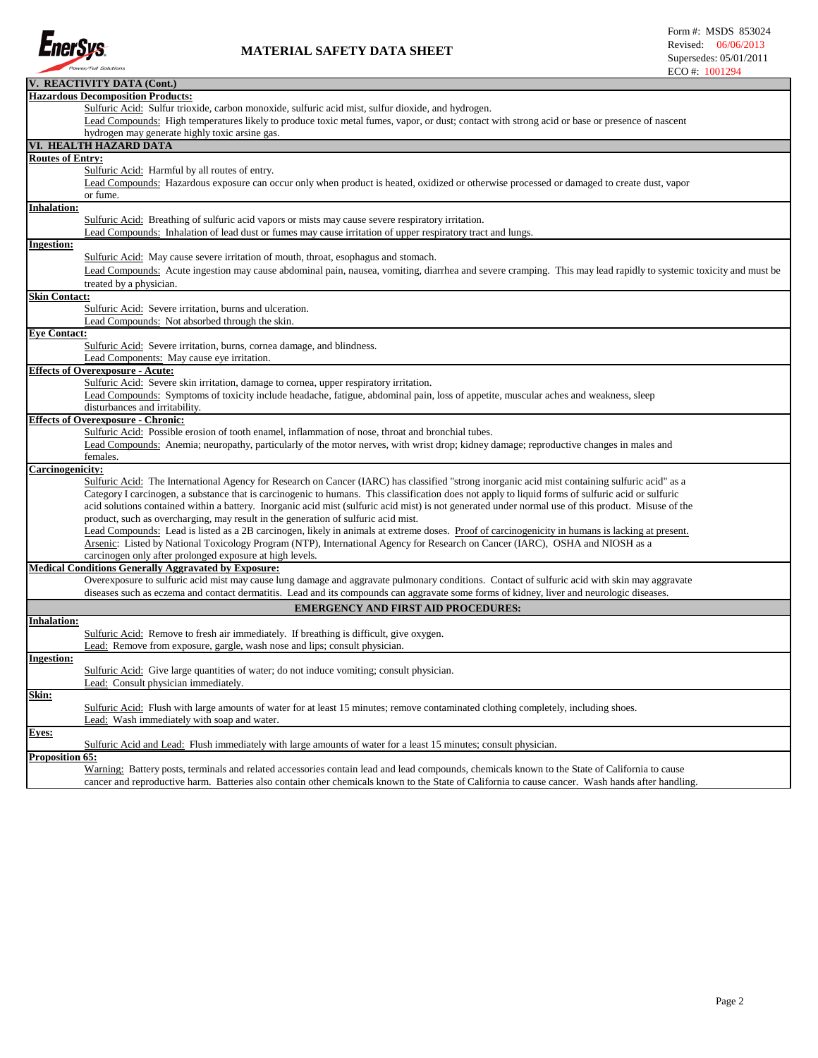

## **MATERIAL SAFETY DATA SHEET**

|                         | V. REACTIVITY DATA (Cont.)                                                                                                                                                                                                     |  |  |  |  |  |  |  |
|-------------------------|--------------------------------------------------------------------------------------------------------------------------------------------------------------------------------------------------------------------------------|--|--|--|--|--|--|--|
|                         | <b>Hazardous Decomposition Products:</b>                                                                                                                                                                                       |  |  |  |  |  |  |  |
|                         | Sulfuric Acid: Sulfur trioxide, carbon monoxide, sulfuric acid mist, sulfur dioxide, and hydrogen.                                                                                                                             |  |  |  |  |  |  |  |
|                         | Lead Compounds: High temperatures likely to produce toxic metal fumes, vapor, or dust; contact with strong acid or base or presence of nascent                                                                                 |  |  |  |  |  |  |  |
|                         | hydrogen may generate highly toxic arsine gas.                                                                                                                                                                                 |  |  |  |  |  |  |  |
|                         | VI. HEALTH HAZARD DATA                                                                                                                                                                                                         |  |  |  |  |  |  |  |
| <b>Routes of Entry:</b> |                                                                                                                                                                                                                                |  |  |  |  |  |  |  |
|                         | Sulfuric Acid: Harmful by all routes of entry.                                                                                                                                                                                 |  |  |  |  |  |  |  |
|                         | Lead Compounds: Hazardous exposure can occur only when product is heated, oxidized or otherwise processed or damaged to create dust, vapor                                                                                     |  |  |  |  |  |  |  |
|                         | or fume.                                                                                                                                                                                                                       |  |  |  |  |  |  |  |
| <b>Inhalation:</b>      |                                                                                                                                                                                                                                |  |  |  |  |  |  |  |
|                         | Sulfuric Acid: Breathing of sulfuric acid vapors or mists may cause severe respiratory irritation.                                                                                                                             |  |  |  |  |  |  |  |
|                         | Lead Compounds: Inhalation of lead dust or fumes may cause irritation of upper respiratory tract and lungs.                                                                                                                    |  |  |  |  |  |  |  |
| Ingestion:              |                                                                                                                                                                                                                                |  |  |  |  |  |  |  |
|                         | Sulfuric Acid: May cause severe irritation of mouth, throat, esophagus and stomach.                                                                                                                                            |  |  |  |  |  |  |  |
|                         | Lead Compounds: Acute ingestion may cause abdominal pain, nausea, vomiting, diarrhea and severe cramping. This may lead rapidly to systemic toxicity and must be                                                               |  |  |  |  |  |  |  |
|                         | treated by a physician.                                                                                                                                                                                                        |  |  |  |  |  |  |  |
| <b>Skin Contact:</b>    |                                                                                                                                                                                                                                |  |  |  |  |  |  |  |
|                         | Sulfuric Acid: Severe irritation, burns and ulceration.                                                                                                                                                                        |  |  |  |  |  |  |  |
|                         | Lead Compounds: Not absorbed through the skin.                                                                                                                                                                                 |  |  |  |  |  |  |  |
| <b>Eye Contact:</b>     |                                                                                                                                                                                                                                |  |  |  |  |  |  |  |
|                         | Sulfuric Acid: Severe irritation, burns, cornea damage, and blindness.                                                                                                                                                         |  |  |  |  |  |  |  |
|                         | Lead Components: May cause eye irritation.                                                                                                                                                                                     |  |  |  |  |  |  |  |
|                         | <b>Effects of Overexposure - Acute:</b>                                                                                                                                                                                        |  |  |  |  |  |  |  |
|                         |                                                                                                                                                                                                                                |  |  |  |  |  |  |  |
|                         | Sulfuric Acid: Severe skin irritation, damage to cornea, upper respiratory irritation.<br>Lead Compounds: Symptoms of toxicity include headache, fatigue, abdominal pain, loss of appetite, muscular aches and weakness, sleep |  |  |  |  |  |  |  |
|                         | disturbances and irritability.                                                                                                                                                                                                 |  |  |  |  |  |  |  |
|                         | <b>Effects of Overexposure - Chronic:</b>                                                                                                                                                                                      |  |  |  |  |  |  |  |
|                         | Sulfuric Acid: Possible erosion of tooth enamel, inflammation of nose, throat and bronchial tubes.                                                                                                                             |  |  |  |  |  |  |  |
|                         |                                                                                                                                                                                                                                |  |  |  |  |  |  |  |
|                         | Lead Compounds: Anemia; neuropathy, particularly of the motor nerves, with wrist drop; kidney damage; reproductive changes in males and                                                                                        |  |  |  |  |  |  |  |
|                         | females.                                                                                                                                                                                                                       |  |  |  |  |  |  |  |
| Carcinogenicity:        |                                                                                                                                                                                                                                |  |  |  |  |  |  |  |
|                         | Sulfuric Acid: The International Agency for Research on Cancer (IARC) has classified "strong inorganic acid mist containing sulfuric acid" as a                                                                                |  |  |  |  |  |  |  |
|                         | Category I carcinogen, a substance that is carcinogenic to humans. This classification does not apply to liquid forms of sulfuric acid or sulfuric                                                                             |  |  |  |  |  |  |  |
|                         | acid solutions contained within a battery. Inorganic acid mist (sulfuric acid mist) is not generated under normal use of this product. Misuse of the                                                                           |  |  |  |  |  |  |  |
|                         | product, such as overcharging, may result in the generation of sulfuric acid mist.                                                                                                                                             |  |  |  |  |  |  |  |
|                         | Lead Compounds: Lead is listed as a 2B carcinogen, likely in animals at extreme doses. Proof of carcinogenicity in humans is lacking at present.                                                                               |  |  |  |  |  |  |  |
|                         | Arsenic: Listed by National Toxicology Program (NTP), International Agency for Research on Cancer (IARC), OSHA and NIOSH as a                                                                                                  |  |  |  |  |  |  |  |
|                         | carcinogen only after prolonged exposure at high levels.                                                                                                                                                                       |  |  |  |  |  |  |  |
|                         | <b>Medical Conditions Generally Aggravated by Exposure:</b>                                                                                                                                                                    |  |  |  |  |  |  |  |
|                         | Overexposure to sulfuric acid mist may cause lung damage and aggravate pulmonary conditions. Contact of sulfuric acid with skin may aggravate                                                                                  |  |  |  |  |  |  |  |
|                         | diseases such as eczema and contact dermatitis. Lead and its compounds can aggravate some forms of kidney, liver and neurologic diseases.                                                                                      |  |  |  |  |  |  |  |
|                         | <b>EMERGENCY AND FIRST AID PROCEDURES:</b>                                                                                                                                                                                     |  |  |  |  |  |  |  |
| <u> Inhalation:</u>     |                                                                                                                                                                                                                                |  |  |  |  |  |  |  |
|                         | Sulfuric Acid: Remove to fresh air immediately. If breathing is difficult, give oxygen.                                                                                                                                        |  |  |  |  |  |  |  |
|                         | Lead: Remove from exposure, gargle, wash nose and lips; consult physician.                                                                                                                                                     |  |  |  |  |  |  |  |
| <b>Ingestion:</b>       |                                                                                                                                                                                                                                |  |  |  |  |  |  |  |
|                         | Sulfuric Acid: Give large quantities of water; do not induce vomiting; consult physician.                                                                                                                                      |  |  |  |  |  |  |  |
|                         | Lead: Consult physician immediately.                                                                                                                                                                                           |  |  |  |  |  |  |  |
| Skin:                   |                                                                                                                                                                                                                                |  |  |  |  |  |  |  |
|                         | Sulfuric Acid: Flush with large amounts of water for at least 15 minutes; remove contaminated clothing completely, including shoes.                                                                                            |  |  |  |  |  |  |  |
|                         | Lead: Wash immediately with soap and water.                                                                                                                                                                                    |  |  |  |  |  |  |  |
| <b>Eyes:</b>            |                                                                                                                                                                                                                                |  |  |  |  |  |  |  |
|                         | Sulfuric Acid and Lead: Flush immediately with large amounts of water for a least 15 minutes; consult physician.                                                                                                               |  |  |  |  |  |  |  |
| Proposition 65:         |                                                                                                                                                                                                                                |  |  |  |  |  |  |  |
|                         |                                                                                                                                                                                                                                |  |  |  |  |  |  |  |
|                         | Warning: Battery posts, terminals and related accessories contain lead and lead compounds, chemicals known to the State of California to cause                                                                                 |  |  |  |  |  |  |  |
|                         | cancer and reproductive harm. Batteries also contain other chemicals known to the State of California to cause cancer. Wash hands after handling.                                                                              |  |  |  |  |  |  |  |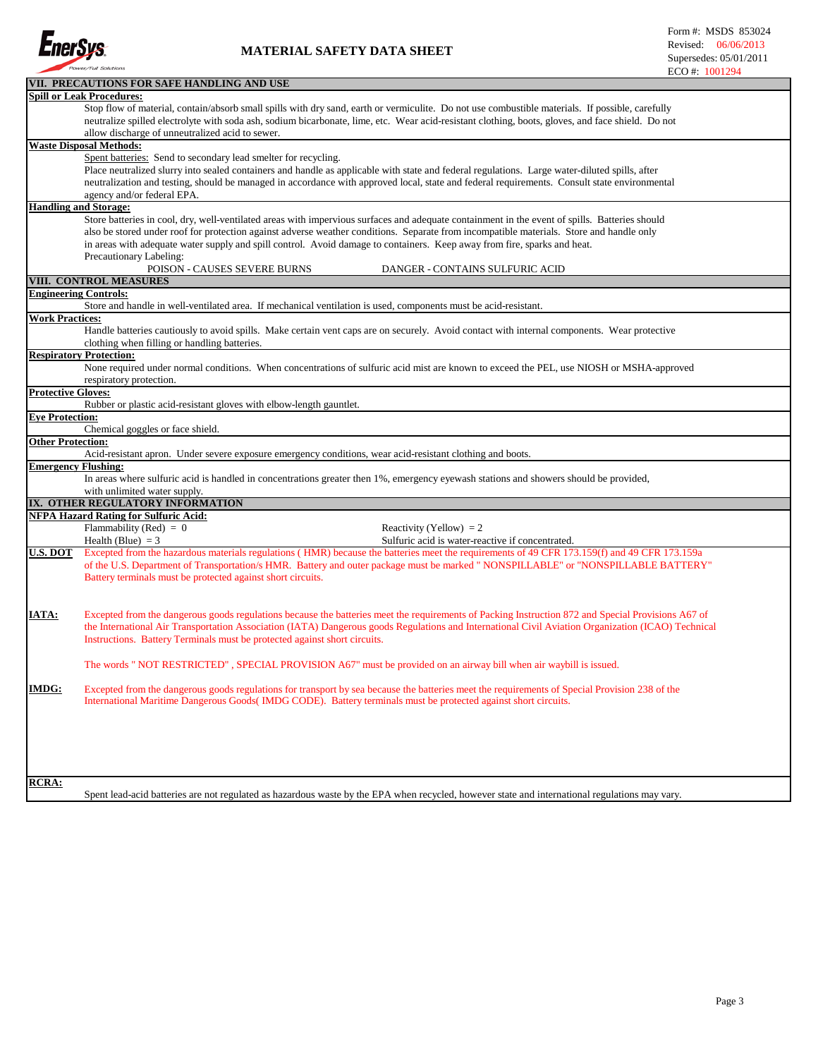

|                            | VII. PRECAUTIONS FOR SAFE HANDLING AND USE                                                                                                         |  |  |  |  |  |  |  |  |
|----------------------------|----------------------------------------------------------------------------------------------------------------------------------------------------|--|--|--|--|--|--|--|--|
|                            | <b>Spill or Leak Procedures:</b>                                                                                                                   |  |  |  |  |  |  |  |  |
|                            | Stop flow of material, contain/absorb small spills with dry sand, earth or vermiculite. Do not use combustible materials. If possible, carefully   |  |  |  |  |  |  |  |  |
|                            | neutralize spilled electrolyte with soda ash, sodium bicarbonate, lime, etc. Wear acid-resistant clothing, boots, gloves, and face shield. Do not  |  |  |  |  |  |  |  |  |
|                            | allow discharge of unneutralized acid to sewer.                                                                                                    |  |  |  |  |  |  |  |  |
|                            | <b>Waste Disposal Methods:</b>                                                                                                                     |  |  |  |  |  |  |  |  |
|                            | Spent batteries: Send to secondary lead smelter for recycling.                                                                                     |  |  |  |  |  |  |  |  |
|                            | Place neutralized slurry into sealed containers and handle as applicable with state and federal regulations. Large water-diluted spills, after     |  |  |  |  |  |  |  |  |
|                            | neutralization and testing, should be managed in accordance with approved local, state and federal requirements. Consult state environmental       |  |  |  |  |  |  |  |  |
|                            | agency and/or federal EPA.                                                                                                                         |  |  |  |  |  |  |  |  |
|                            | <b>Handling and Storage:</b>                                                                                                                       |  |  |  |  |  |  |  |  |
|                            | Store batteries in cool, dry, well-ventilated areas with impervious surfaces and adequate containment in the event of spills. Batteries should     |  |  |  |  |  |  |  |  |
|                            | also be stored under roof for protection against adverse weather conditions. Separate from incompatible materials. Store and handle only           |  |  |  |  |  |  |  |  |
|                            | in areas with adequate water supply and spill control. Avoid damage to containers. Keep away from fire, sparks and heat.                           |  |  |  |  |  |  |  |  |
|                            | Precautionary Labeling:                                                                                                                            |  |  |  |  |  |  |  |  |
|                            | POISON - CAUSES SEVERE BURNS<br>DANGER - CONTAINS SULFURIC ACID                                                                                    |  |  |  |  |  |  |  |  |
|                            | VIII. CONTROL MEASURES                                                                                                                             |  |  |  |  |  |  |  |  |
|                            | <b>Engineering Controls:</b>                                                                                                                       |  |  |  |  |  |  |  |  |
|                            | Store and handle in well-ventilated area. If mechanical ventilation is used, components must be acid-resistant.                                    |  |  |  |  |  |  |  |  |
| <b>Work Practices:</b>     |                                                                                                                                                    |  |  |  |  |  |  |  |  |
|                            | Handle batteries cautiously to avoid spills. Make certain vent caps are on securely. Avoid contact with internal components. Wear protective       |  |  |  |  |  |  |  |  |
|                            | clothing when filling or handling batteries.                                                                                                       |  |  |  |  |  |  |  |  |
|                            | <b>Respiratory Protection:</b>                                                                                                                     |  |  |  |  |  |  |  |  |
|                            | None required under normal conditions. When concentrations of sulfuric acid mist are known to exceed the PEL, use NIOSH or MSHA-approved           |  |  |  |  |  |  |  |  |
|                            | respiratory protection.                                                                                                                            |  |  |  |  |  |  |  |  |
| <b>Protective Gloves:</b>  |                                                                                                                                                    |  |  |  |  |  |  |  |  |
|                            | Rubber or plastic acid-resistant gloves with elbow-length gauntlet.                                                                                |  |  |  |  |  |  |  |  |
| <b>Eye Protection:</b>     |                                                                                                                                                    |  |  |  |  |  |  |  |  |
|                            | Chemical goggles or face shield.                                                                                                                   |  |  |  |  |  |  |  |  |
| <b>Other Protection:</b>   |                                                                                                                                                    |  |  |  |  |  |  |  |  |
|                            | Acid-resistant apron. Under severe exposure emergency conditions, wear acid-resistant clothing and boots.                                          |  |  |  |  |  |  |  |  |
| <b>Emergency Flushing:</b> |                                                                                                                                                    |  |  |  |  |  |  |  |  |
|                            | In areas where sulfuric acid is handled in concentrations greater then 1%, emergency eyewash stations and showers should be provided,              |  |  |  |  |  |  |  |  |
|                            | with unlimited water supply.                                                                                                                       |  |  |  |  |  |  |  |  |
|                            | IX. OTHER REGULATORY INFORMATION                                                                                                                   |  |  |  |  |  |  |  |  |
|                            | <b>NFPA Hazard Rating for Sulfuric Acid:</b>                                                                                                       |  |  |  |  |  |  |  |  |
|                            | Flammability (Red) = $0$<br>Reactivity (Yellow) = $2$                                                                                              |  |  |  |  |  |  |  |  |
|                            | Health (Blue) $=$ 3<br>Sulfuric acid is water-reactive if concentrated.                                                                            |  |  |  |  |  |  |  |  |
| <b>U.S. DOT</b>            | Excepted from the hazardous materials regulations (HMR) because the batteries meet the requirements of 49 CFR 173.159(f) and 49 CFR 173.159a       |  |  |  |  |  |  |  |  |
|                            | of the U.S. Department of Transportation/s HMR. Battery and outer package must be marked " NONSPILLABLE" or "NONSPILLABLE BATTERY"                 |  |  |  |  |  |  |  |  |
|                            | Battery terminals must be protected against short circuits.                                                                                        |  |  |  |  |  |  |  |  |
|                            |                                                                                                                                                    |  |  |  |  |  |  |  |  |
|                            |                                                                                                                                                    |  |  |  |  |  |  |  |  |
| <u>IATA:</u>               | Excepted from the dangerous goods regulations because the batteries meet the requirements of Packing Instruction 872 and Special Provisions A67 of |  |  |  |  |  |  |  |  |
|                            | the International Air Transportation Association (IATA) Dangerous goods Regulations and International Civil Aviation Organization (ICAO) Technical |  |  |  |  |  |  |  |  |
|                            | Instructions. Battery Terminals must be protected against short circuits.                                                                          |  |  |  |  |  |  |  |  |
|                            |                                                                                                                                                    |  |  |  |  |  |  |  |  |
|                            | The words " NOT RESTRICTED", SPECIAL PROVISION A67" must be provided on an airway bill when air waybill is issued.                                 |  |  |  |  |  |  |  |  |
|                            |                                                                                                                                                    |  |  |  |  |  |  |  |  |
| <b>IMDG:</b>               | Excepted from the dangerous goods regulations for transport by sea because the batteries meet the requirements of Special Provision 238 of the     |  |  |  |  |  |  |  |  |
|                            | International Maritime Dangerous Goods (IMDG CODE). Battery terminals must be protected against short circuits.                                    |  |  |  |  |  |  |  |  |
|                            |                                                                                                                                                    |  |  |  |  |  |  |  |  |
|                            |                                                                                                                                                    |  |  |  |  |  |  |  |  |
|                            |                                                                                                                                                    |  |  |  |  |  |  |  |  |
|                            |                                                                                                                                                    |  |  |  |  |  |  |  |  |
|                            |                                                                                                                                                    |  |  |  |  |  |  |  |  |
|                            |                                                                                                                                                    |  |  |  |  |  |  |  |  |
| <b>RCRA:</b>               |                                                                                                                                                    |  |  |  |  |  |  |  |  |
|                            | Spent lead-acid batteries are not regulated as hazardous waste by the EPA when recycled, however state and international regulations may vary.     |  |  |  |  |  |  |  |  |
|                            |                                                                                                                                                    |  |  |  |  |  |  |  |  |